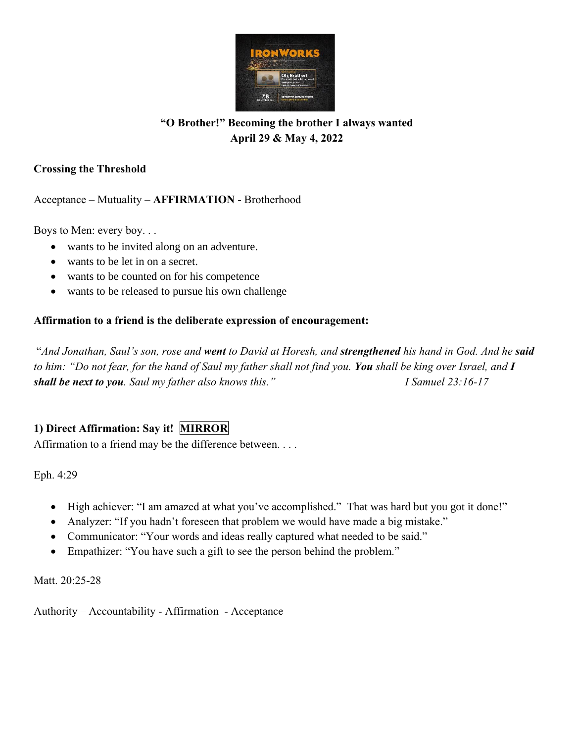

# **"O Brother!" Becoming the brother I always wanted April 29 & May 4, 2022**

### **Crossing the Threshold**

Acceptance – Mutuality – **AFFIRMATION** - Brotherhood

Boys to Men: every boy. . .

- wants to be invited along on an adventure.
- wants to be let in on a secret.
- wants to be counted on for his competence
- wants to be released to pursue his own challenge

### **Affirmation to a friend is the deliberate expression of encouragement:**

"*And Jonathan, Saul's son, rose and went to David at Horesh, and strengthened his hand in God. And he said to him: "Do not fear, for the hand of Saul my father shall not find you. You shall be king over Israel, and I shall be next to you. Saul my father also knows this." I Samuel 23:16-17*

# **1) Direct Affirmation: Say it! MIRROR**

Affirmation to a friend may be the difference between. . . .

Eph. 4:29

- High achiever: "I am amazed at what you've accomplished." That was hard but you got it done!"
- Analyzer: "If you hadn't foreseen that problem we would have made a big mistake."
- Communicator: "Your words and ideas really captured what needed to be said."
- Empathizer: "You have such a gift to see the person behind the problem."

Matt. 20:25-28

Authority – Accountability - Affirmation - Acceptance